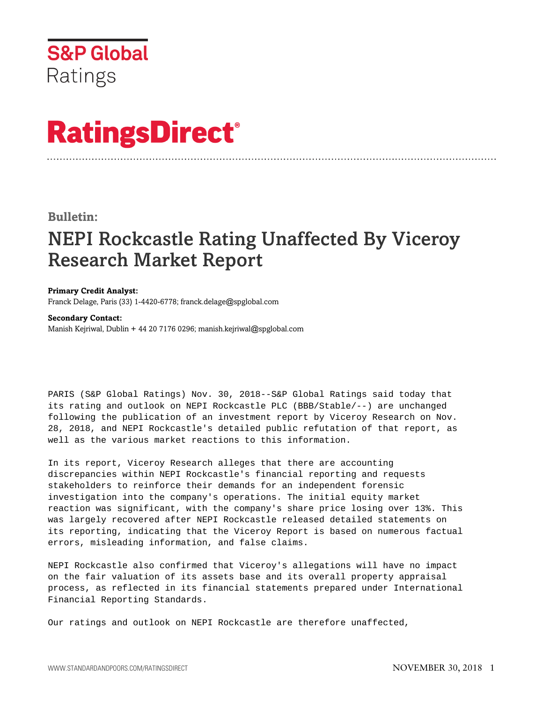

## **RatingsDirect®**

## **Bulletin:**

## NEPI Rockcastle Rating Unaffected By Viceroy Research Market Report

**Primary Credit Analyst:** Franck Delage, Paris (33) 1-4420-6778; franck.delage@spglobal.com

## **Secondary Contact:** Manish Kejriwal, Dublin + 44 20 7176 0296; manish.kejriwal@spglobal.com

PARIS (S&P Global Ratings) Nov. 30, 2018--S&P Global Ratings said today that its rating and outlook on NEPI Rockcastle PLC (BBB/Stable/--) are unchanged following the publication of an investment report by Viceroy Research on Nov. 28, 2018, and NEPI Rockcastle's detailed public refutation of that report, as well as the various market reactions to this information.

In its report, Viceroy Research alleges that there are accounting discrepancies within NEPI Rockcastle's financial reporting and requests stakeholders to reinforce their demands for an independent forensic investigation into the company's operations. The initial equity market reaction was significant, with the company's share price losing over 13%. This was largely recovered after NEPI Rockcastle released detailed statements on its reporting, indicating that the Viceroy Report is based on numerous factual errors, misleading information, and false claims.

NEPI Rockcastle also confirmed that Viceroy's allegations will have no impact on the fair valuation of its assets base and its overall property appraisal process, as reflected in its financial statements prepared under International Financial Reporting Standards.

Our ratings and outlook on NEPI Rockcastle are therefore unaffected,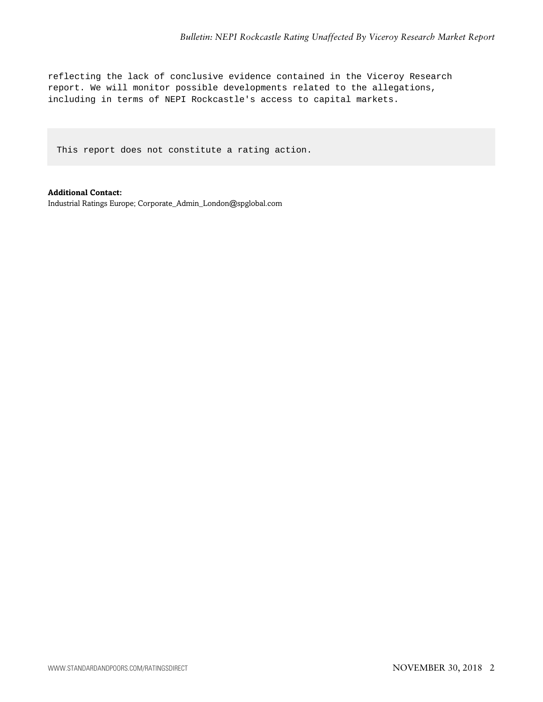reflecting the lack of conclusive evidence contained in the Viceroy Research report. We will monitor possible developments related to the allegations, including in terms of NEPI Rockcastle's access to capital markets.

This report does not constitute a rating action.

**Additional Contact:** Industrial Ratings Europe; Corporate\_Admin\_London@spglobal.com